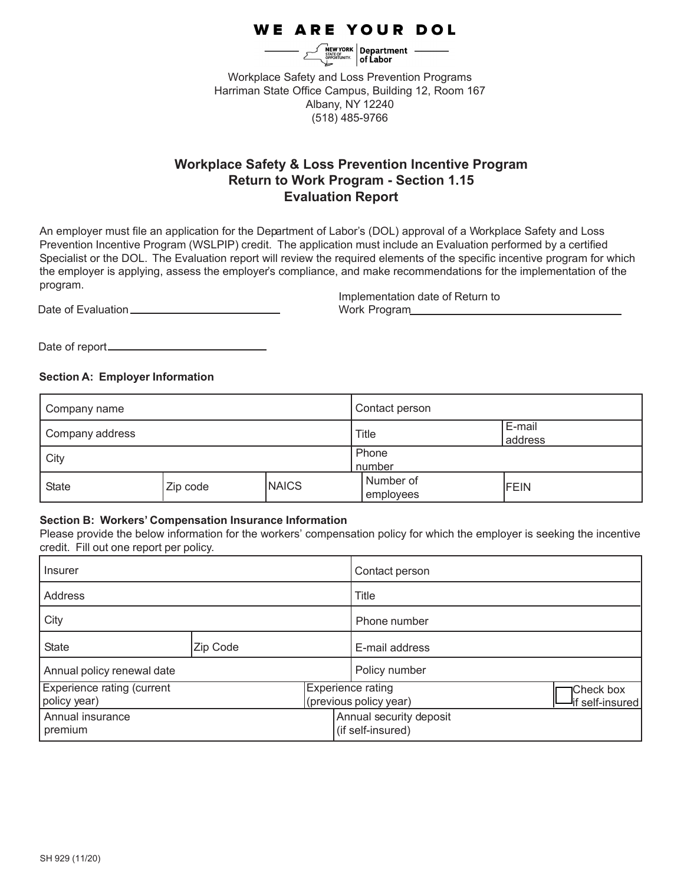# WE ARE YOUR DOL

 $\left[\begin{array}{c}\n\hline\n\text{NEW YORK} \\
\hline\n\text{SEW YORK} \\
\hline\n\text{SFATE OF} \\
\hline\n\end{array}\right]$  of Labor

Workplace Safety and Loss Prevention Programs Harriman State Office Campus, Building 12, Room 167 Albany, NY 12240 (518) 485-9766

## **Workplace Safety & Loss Prevention Incentive Program Return to Work Program - Section 1.15 Evaluation Report**

An employer must file an application for the Department of Labor's (DOL) approval of a Workplace Safety and Loss Prevention Incentive Program (WSLPIP) credit. The application must include an Evaluation performed by a certified Specialist or the DOL. The Evaluation report will review the required elements of the specific incentive program for which the employer is applying, assess the employer's compliance, and make recommendations for the implementation of the program.

Date of Evaluation

Implementation date of Return to Work Program

Date of report

## **Section A: Employer Information**

| Company name      |          | Contact person  |                        |             |
|-------------------|----------|-----------------|------------------------|-------------|
| ' Company address |          | <b>Title</b>    | E-mail<br>address      |             |
| City              |          | Phone<br>number |                        |             |
| <b>State</b>      | Zip code | <b>NAICS</b>    | Number of<br>employees | <b>FEIN</b> |

## **Section B: Workers' Compensation Insurance Information**

Please provide the below information for the workers' compensation policy for which the employer is seeking the incentive credit. Fill out one report per policy.

| Insurer                                           |          | Contact person |                                                    |                                |
|---------------------------------------------------|----------|----------------|----------------------------------------------------|--------------------------------|
| Address                                           |          | Title          |                                                    |                                |
| City                                              |          | Phone number   |                                                    |                                |
| <b>State</b>                                      | Zip Code |                | E-mail address                                     |                                |
| Annual policy renewal date                        |          | Policy number  |                                                    |                                |
| <b>Experience rating (current</b><br>policy year) |          |                | <b>Experience rating</b><br>(previous policy year) | Check box<br>-lif self-insured |
| Annual insurance<br>premium                       |          |                | Annual security deposit<br>(if self-insured)       |                                |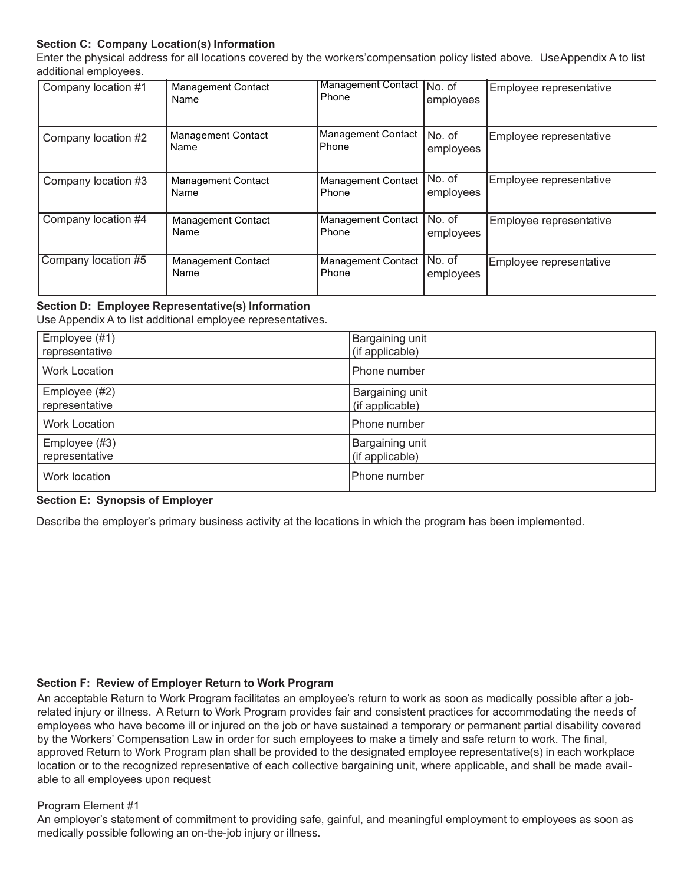## **Section C: Company Location(s) Information**

Enter the physical address for all locations covered by the workers' compensation policy listed above. Use Appendix A to list additional employees.

| Company location #1 | <b>Management Contact</b><br>Name | Management Contact No. of<br><b>Phone</b> | employees           | Employee representative |
|---------------------|-----------------------------------|-------------------------------------------|---------------------|-------------------------|
| Company location #2 | <b>Management Contact</b><br>Name | Management Contact<br>lPhone              | No. of<br>employees | Employee representative |
| Company location #3 | <b>Management Contact</b><br>Name | Management Contact<br><b>Phone</b>        | No. of<br>employees | Employee representative |
| Company location #4 | <b>Management Contact</b><br>Name | Management Contact<br>Phone               | No. of<br>employees | Employee representative |
| Company location #5 | <b>Management Contact</b><br>Name | <b>Management Contact</b><br>Phone        | No. of<br>employees | Employee representative |

## **Section D: Employee Representative(s) Information**

Use Appendix A to list additional employee representatives.

| Employee (#1)        | Bargaining unit |
|----------------------|-----------------|
| representative       | (if applicable) |
| <b>Work Location</b> | Phone number    |
| Employee (#2)        | Bargaining unit |
| representative       | (if applicable) |
| <b>Work Location</b> | Phone number    |
| Employee (#3)        | Bargaining unit |
| representative       | (if applicable) |
| Work location        | Phone number    |

#### **Section E: Synopsis of Employer**

Describe the employer's primary business activity at the locations in which the program has been implemented.

#### **Section F: Review of Employer Return to Work Program**

An acceptable Return to Work Program facilitates an employee's return to work as soon as medically possible after a jobrelated injury or illness. A Return to Work Program provides fair and consistent practices for accommodating the needs of employees who have become ill or injured on the job or have sustained a temporary or permanent partial disability covered by the Workers' Compensation Law in order for such employees to make a timely and safe return to work. The final, approved Return to Work Program plan shall be provided to the designated employee representative(s) in each workplace location or to the recognized representative of each collective bargaining unit, where applicable, and shall be made available to all employees upon request

#### Program Element #1

An employer's statement of commitment to providing safe, gainful, and meaningful employment to employees as soon as medically possible following an on-the-job injury or illness.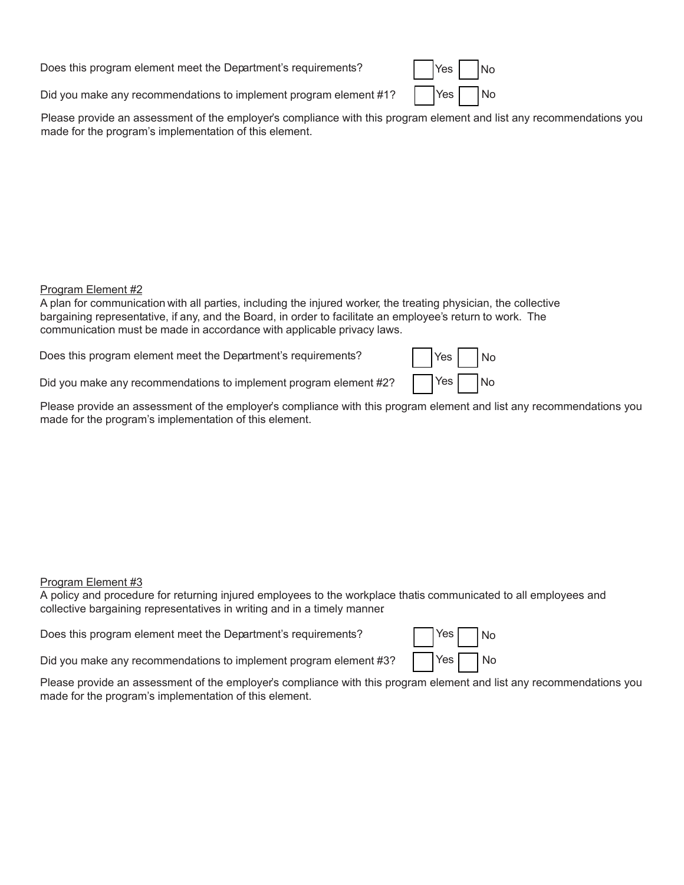Does this program element meet the Department's requirements?  $|$  | Yes | | No

Did you make any recommendations to implement program element #1?

Yes No Yes

Please provide an assessment of the employer's compliance with this program element and list any recommendations you made for the program's implementation of this element.

#### Program Element #2

A plan for communication with all parties, including the injured worker, the treating physician, the collective bargaining representative, if any, and the Board, in order to facilitate an employee's return to work. The communication must be made in accordance with applicable privacy laws.

Does this program element meet the Department's requirements?

Did you make any recommendations to implement program element #2?

| Yes | No        |
|-----|-----------|
| Yes | <b>No</b> |

Please provide an assessment of the employer's compliance with this program element and list any recommendations you made for the program's implementation of this element.

## Program Element #3

A policy and procedure for returning injured employees to the workplace that is communicated to all employees and collective bargaining representatives in writing and in a timely manner.

Does this program element meet the Department's requirements?

| Yes | No |
|-----|----|
| Yes | No |

Did you make any recommendations to implement program element #3?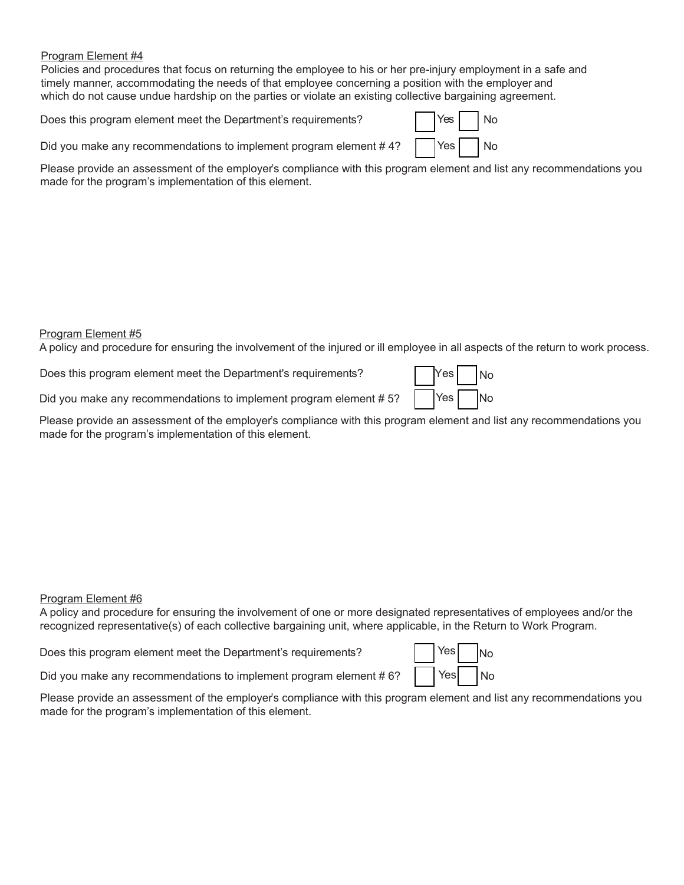Policies and procedures that focus on returning the employee to his or her pre-injury employment in a safe and timely manner, accommodating the needs of that employee concerning a position with the employer and which do not cause undue hardship on the parties or violate an existing collective bargaining agreement.

Does this program element meet the Department's requirements?

| Yes  | No        |
|------|-----------|
| Yes' | <b>No</b> |

Did you make any recommendations to implement program element #4?

Please provide an assessment of the employer's compliance with this program element and list any recommendations you made for the program's implementation of this element.

#### Program Element #5

A policy and procedure for ensuring the involvement of the injured or ill employee in all aspects of the return to work process.

Does this program element meet the Department's requirements?

| Yes <sub>l</sub> | No        |
|------------------|-----------|
| Yes              | <b>No</b> |

Did you make any recommendations to implement program element #5?

Please provide an assessment of the employer's compliance with this program element and list any recommendations you made for the program's implementation of this element.

#### Program Element #6

A policy and procedure for ensuring the involvement of one or more designated representatives of employees and/or the recognized representative(s) of each collective bargaining unit, where applicable, in the Return to Work Program.

Does this program element meet the Department's requirements?

| Yesl | <b>INo</b> |
|------|------------|
| Yesl | No         |

Did you make any recommendations to implement program element #6?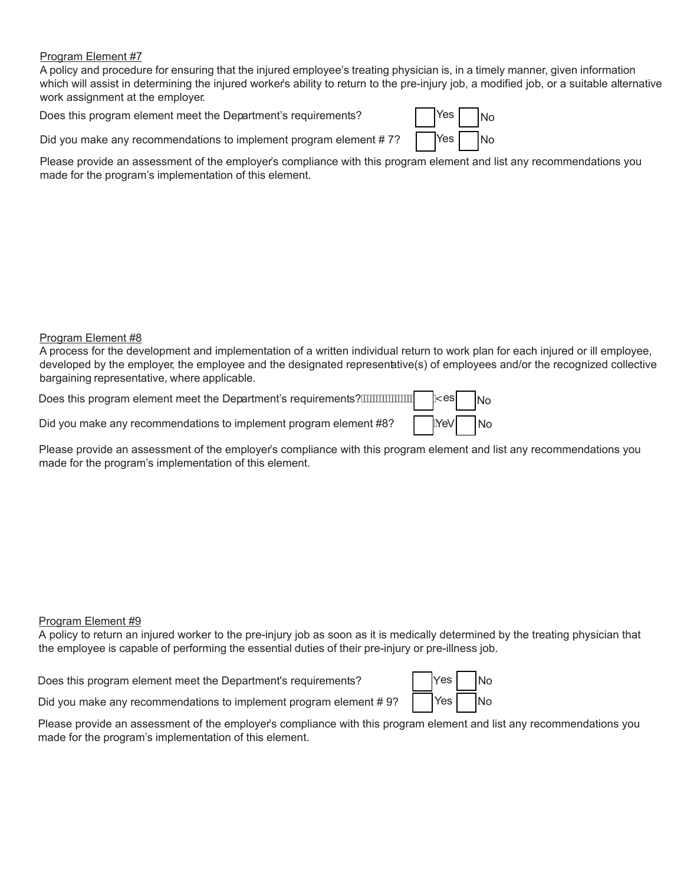A policy and procedure for ensuring that the injured employee's treating physician is, in a timely manner, given information which will assist in determining the injured worker's ability to return to the pre-injury job, a modified job, or a suitable alternative work assignment at the employer.

Does this program element meet the Department's requirements?

| Yes | <b>No</b> |
|-----|-----------|
| Yes | No        |

Did you make any recommendations to implement program element #7?

Please provide an assessment of the employer's compliance with this program element and list any recommendations you made for the program's implementation of this element.

#### Program Element #8

A process for the development and implementation of a written individual return to work plan for each injured or ill employee, developed by the employer, the employee and the designated representative(s) of employees and/or the recognized collective bargaining representative, where applicable.

| Did you make any recommendations to implement program element #8? $Ae^*$ No |  |  |
|-----------------------------------------------------------------------------|--|--|

Please provide an assessment of the employer's compliance with this program element and list any recommendations you made for the program's implementation of this element.

## Program Element #9

A policy to return an injured worker to the pre-injury job as soon as it is medically determined by the treating physician that the employee is capable of performing the essential duties of their pre-injury or pre-illness job.

Does this program element meet the Department's requirements?

| Yes | <b>No</b> |
|-----|-----------|
| Yes | No        |

Did you make any recommendations to implement program element #9?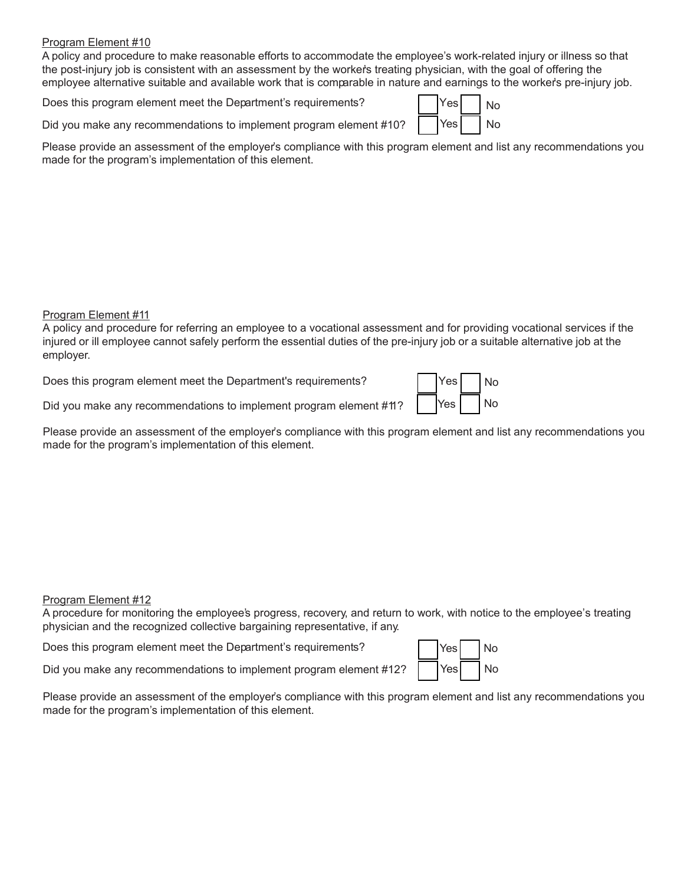A policy and procedure to make reasonable efforts to accommodate the employee's work-related injury or illness so that the post-injury job is consistent with an assessment by the worker's treating physician, with the goal of offering the employee alternative suitable and available work that is comparable in nature and earnings to the worker's pre-injury job.

Does this program element meet the Department's requirements?

Did you make any recommendations to implement program element #10?

| Yes! | No |
|------|----|
| Yesl | N٥ |

Please provide an assessment of the employer's compliance with this program element and list any recommendations you made for the program's implementation of this element.

## Program Element #11

A policy and procedure for referring an employee to a vocational assessment and for providing vocational services if the injured or ill employee cannot safely perform the essential duties of the pre-injury job or a suitable alternative job at the employer.

Does this program element meet the Department's requirements?

| Yes | No |
|-----|----|
| Yes | No |

Did you make any recommendations to implement program element #11?

Please provide an assessment of the employer's compliance with this program element and list any recommendations you made for the program's implementation of this element.

## Program Element #12

A procedure for monitoring the employee's progress, recovery, and return to work, with notice to the employee's treating physician and the recognized collective bargaining representative, if any.

Does this program element meet the Department's requirements?

| Yesl | No |
|------|----|
| Yes  | No |

Did you make any recommendations to implement program element #12?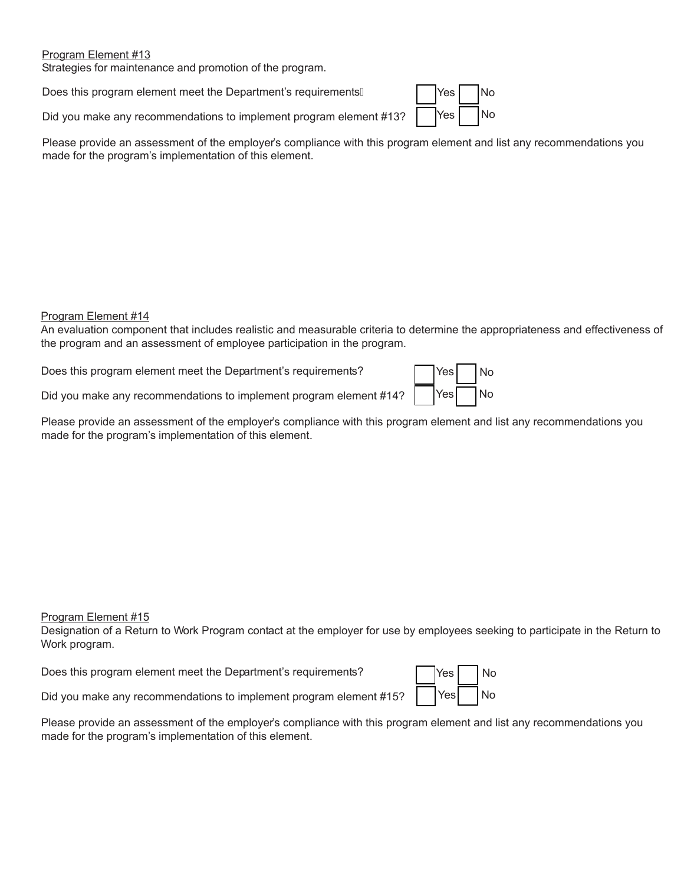Strategies for maintenance and promotion of the program.

Does this program element meet the Department's requirements A

Did you make any recommendations to implement program element #13?

| Yes <sup>1</sup> | No |
|------------------|----|
| Yes              | No |

Please provide an assessment of the employer's compliance with this program element and list any recommendations you made for the program's implementation of this element.

#### Program Element #14

An evaluation component that includes realistic and measurable criteria to determine the appropriateness and effectiveness of the program and an assessment of employee participation in the program.

Does this program element meet the Department's requirements?

| Yes <sup> </sup> | No |
|------------------|----|
| Yes <sup> </sup> | No |

Did you make any recommendations to implement program element #14?

Please provide an assessment of the employer's compliance with this program element and list any recommendations you made for the program's implementation of this element.

#### Program Element #15

Designation of a Return to Work Program contact at the employer for use by employees seeking to participate in the Return to Work program.

Does this program element meet the Department's requirements?

| <b>Yes</b> | No |
|------------|----|
| Yesl       | No |

Did you make any recommendations to implement program element #15?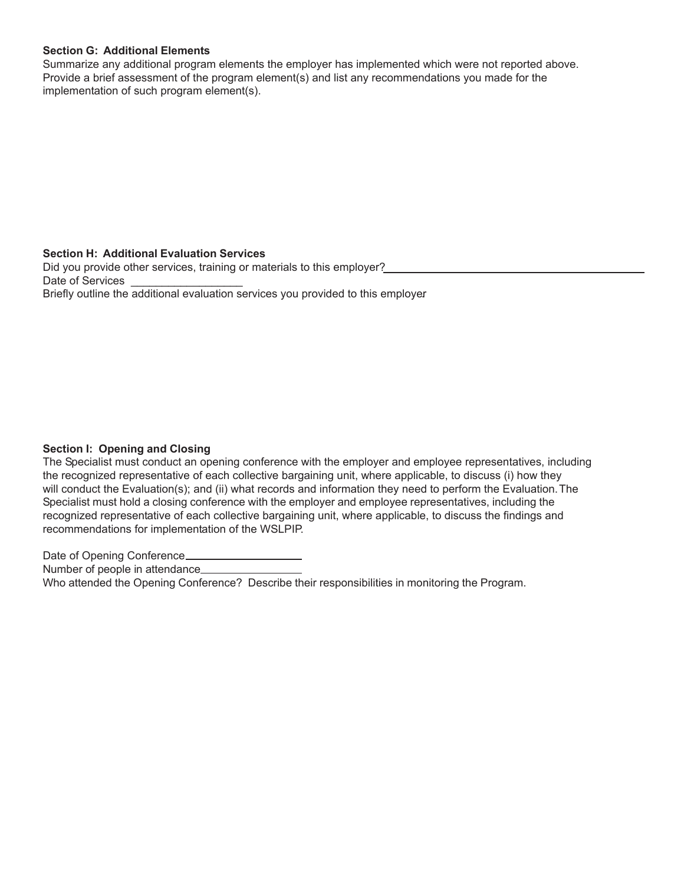#### **Section G: Additional Elements**

Summarize any additional program elements the employer has implemented which were not reported above. Provide a brief assessment of the program element(s) and list any recommendations you made for the implementation of such program element(s).

#### **Section H: Additional Evaluation Services**

Did you provide other services, training or materials to this employer? Date of Services Briefly outline the additional evaluation services you provided to this employer.

## **Section I: Opening and Closing**

The Specialist must conduct an opening conference with the employer and employee representatives, including the recognized representative of each collective bargaining unit, where applicable, to discuss (i) how they will conduct the Evaluation(s); and (ii) what records and information they need to perform the Evaluation. The Specialist must hold a closing conference with the employer and employee representatives, including the recognized representative of each collective bargaining unit, where applicable, to discuss the findings and recommendations for implementation of the WSLPIP.

Date of Opening Conference\_

Number of people in attendance\_\_\_\_\_\_\_\_\_\_\_

Who attended the Opening Conference? Describe their responsibilities in monitoring the Program.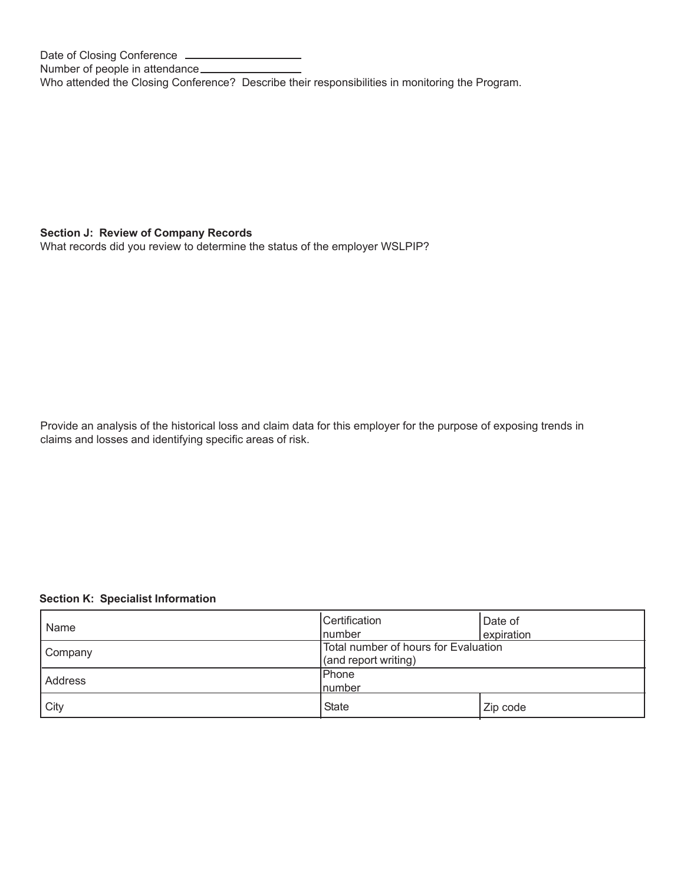Date of Closing Conference Number of people in attendance Who attended the Closing Conference? Describe their responsibilities in monitoring the Program.

## **Section J: Review of Company Records**

What records did you review to determine the status of the employer WSLPIP?

Provide an analysis of the historical loss and claim data for this employer for the purpose of exposing trends in claims and losses and identifying specific areas of risk.

## **Section K: Specialist Information**

| Name    | Certification                        | Date of    |  |
|---------|--------------------------------------|------------|--|
|         | Inumber                              | expiration |  |
| Company | Total number of hours for Evaluation |            |  |
|         | (and report writing)                 |            |  |
| Address | <b>Phone</b>                         |            |  |
|         | <b>Inumber</b>                       |            |  |
| City    | <b>State</b>                         | Zip code   |  |